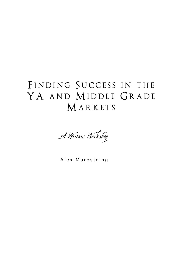### FINDING SUCCESS IN THE YA AND MIDDLE GRADE MARKETS



Alex Marestaing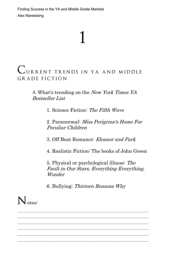# 1

#### CURRENT TRENDS IN YA AND MIDDLE GRADE FICTION

A. What's trending on the New York Times YA Bestseller List

1. Science Fiction: The Fifth Wave

2. Paranormal: Miss Perigrine's Home For Peculiar Children

3. Off Beat Romance: Eleanor and Park

4. Realistic Fiction: The books of John Green

5. Physical or psychological illness: The Fault in Our Stars, Everything Everything, Wonder

6. Bullying: Thirteen Reasons Why

 $\mathcal{L}_\text{max} = \mathcal{L}_\text{max} = \mathcal{L}_\text{max} = \mathcal{L}_\text{max} = \mathcal{L}_\text{max} = \mathcal{L}_\text{max} = \mathcal{L}_\text{max} = \mathcal{L}_\text{max} = \mathcal{L}_\text{max} = \mathcal{L}_\text{max} = \mathcal{L}_\text{max} = \mathcal{L}_\text{max} = \mathcal{L}_\text{max} = \mathcal{L}_\text{max} = \mathcal{L}_\text{max} = \mathcal{L}_\text{max} = \mathcal{L}_\text{max} = \mathcal{L}_\text{max} = \mathcal{$ \_\_\_\_\_\_\_\_\_\_\_\_\_\_\_\_\_\_\_\_\_\_\_\_\_\_\_\_\_\_\_\_\_\_\_\_\_\_\_\_\_\_\_\_\_\_\_\_\_\_\_\_\_\_ \_\_\_\_\_\_\_\_\_\_\_\_\_\_\_\_\_\_\_\_\_\_\_\_\_\_\_\_\_\_\_\_\_\_\_\_\_\_\_\_\_\_\_\_\_\_\_\_\_\_\_\_\_\_ \_\_\_\_\_\_\_\_\_\_\_\_\_\_\_\_\_\_\_\_\_\_\_\_\_\_\_\_\_\_\_\_\_\_\_\_\_\_\_\_\_\_\_\_\_\_\_\_\_\_\_\_\_\_  $\mathcal{L}_\text{max} = \mathcal{L}_\text{max} = \mathcal{L}_\text{max} = \mathcal{L}_\text{max} = \mathcal{L}_\text{max} = \mathcal{L}_\text{max} = \mathcal{L}_\text{max} = \mathcal{L}_\text{max} = \mathcal{L}_\text{max} = \mathcal{L}_\text{max} = \mathcal{L}_\text{max} = \mathcal{L}_\text{max} = \mathcal{L}_\text{max} = \mathcal{L}_\text{max} = \mathcal{L}_\text{max} = \mathcal{L}_\text{max} = \mathcal{L}_\text{max} = \mathcal{L}_\text{max} = \mathcal{$ \_\_\_\_\_\_\_\_\_\_\_\_\_\_\_\_\_\_\_\_\_\_\_\_\_\_\_\_\_\_\_\_\_\_\_\_\_\_\_\_\_\_\_\_\_\_\_\_\_\_\_\_\_\_

N<sub>otes</sub>: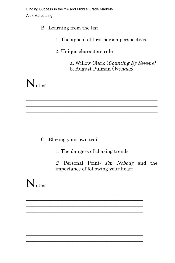B. Learning from the list

- 1. The appeal of first person perspectives
- 2. Unique characters rule
	- a. Willow Clark (Counting By Sevens) b. August Pulman (Wonder)

 $N_{\text{otes}}$ 

C. Blazing your own trail

1. The dangers of chasing trends

2. Personal Point: I'm Nobody and the importance of following your heart

 $N_{\text{otes}}$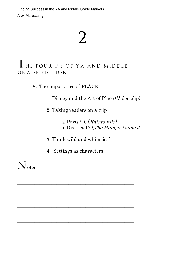## $\sum$

#### THE FOUR P'S OF YA AND MIDDLE GRADE FICTION

A. The importance of PLACE

1. Disney and the Art of Place (Video clip)

2. Taking readers on a trip

a. Paris 2.0 (Ratatouille) b. District 12 (The Hunger Games)

3. Think wild and whimsical

4. Settings as characters

 $\mathcal{L}_\mathcal{L}$  , where  $\mathcal{L}_\mathcal{L}$  , we have the set of the set of the set of the set of the set of the set of the set of the set of the set of the set of the set of the set of the set of the set of the set of the set  $\mathcal{L}_\mathcal{L}$  , where  $\mathcal{L}_\mathcal{L}$  , we have the set of the set of the set of the set of the set of the set of the set of the set of the set of the set of the set of the set of the set of the set of the set of the set \_\_\_\_\_\_\_\_\_\_\_\_\_\_\_\_\_\_\_\_\_\_\_\_\_\_\_\_\_\_\_\_\_\_\_\_\_\_\_\_\_\_\_\_\_\_\_\_ \_\_\_\_\_\_\_\_\_\_\_\_\_\_\_\_\_\_\_\_\_\_\_\_\_\_\_\_\_\_\_\_\_\_\_\_\_\_\_\_\_\_\_\_\_\_\_\_  $\mathcal{L}_\mathcal{L}$  , where  $\mathcal{L}_\mathcal{L}$  , we have the set of the set of the set of the set of the set of the set of the set of the set of the set of the set of the set of the set of the set of the set of the set of the set  $\mathcal{L}_\text{max}$  , which is a set of the set of the set of the set of the set of the set of the set of the set of the set of the set of the set of the set of the set of the set of the set of the set of the set of the set of  $\mathcal{L}_\mathcal{L}$  , where  $\mathcal{L}_\mathcal{L}$  , we have the set of the set of the set of the set of the set of the set of the set of the set of the set of the set of the set of the set of the set of the set of the set of the set \_\_\_\_\_\_\_\_\_\_\_\_\_\_\_\_\_\_\_\_\_\_\_\_\_\_\_\_\_\_\_\_\_\_\_\_\_\_\_\_\_\_\_\_\_\_\_\_  $\mathcal{L}_\mathcal{L}$  , where  $\mathcal{L}_\mathcal{L}$  , we have the set of the set of the set of the set of the set of the set of the set of the set of the set of the set of the set of the set of the set of the set of the set of the set

N<sub>otes</sub>: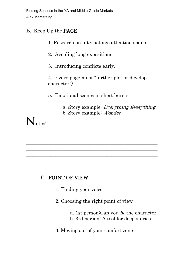#### B. Keep Up the PACE

1. Research on internet age attention spans

2. Avoiding long expositions

3. Introducing conflicts early.

4. Every page must "further plot or develop character")

5. Emotional scenes in short bursts

\_\_\_\_\_\_\_\_\_\_\_\_\_\_\_\_\_\_\_\_\_\_\_\_\_\_\_\_\_\_\_\_\_\_\_\_\_\_\_\_\_\_\_\_\_\_\_\_\_\_\_\_\_\_ \_\_\_\_\_\_\_\_\_\_\_\_\_\_\_\_\_\_\_\_\_\_\_\_\_\_\_\_\_\_\_\_\_\_\_\_\_\_\_\_\_\_\_\_\_\_\_\_\_\_\_\_\_\_ \_\_\_\_\_\_\_\_\_\_\_\_\_\_\_\_\_\_\_\_\_\_\_\_\_\_\_\_\_\_\_\_\_\_\_\_\_\_\_\_\_\_\_\_\_\_\_\_\_\_\_\_\_\_ \_\_\_\_\_\_\_\_\_\_\_\_\_\_\_\_\_\_\_\_\_\_\_\_\_\_\_\_\_\_\_\_\_\_\_\_\_\_\_\_\_\_\_\_\_\_\_\_\_\_\_\_\_\_ \_\_\_\_\_\_\_\_\_\_\_\_\_\_\_\_\_\_\_\_\_\_\_\_\_\_\_\_\_\_\_\_\_\_\_\_\_\_\_\_\_\_\_\_\_\_\_\_\_\_\_\_\_\_  $\mathcal{L}_\text{max}$  and the contract of the contract of the contract of the contract of the contract of the contract of the contract of the contract of the contract of the contract of the contract of the contract of the contrac \_\_\_\_\_\_\_\_\_\_\_\_\_\_\_\_\_\_\_\_\_\_\_\_\_\_\_\_\_\_\_\_\_\_\_\_\_\_\_\_\_\_\_\_\_\_\_\_\_\_\_\_\_\_

a. Story example: Everything Everything b. Story example: Wonder

### $N_{\text{otes}}$

#### C. POINT OF VIEW

- 1. Finding your voice
- 2. Choosing the right point of view
	- a. 1st person:Can you be the character
	- b. 3rd person: A tool for deep stories
- 3. Moving out of your comfort zone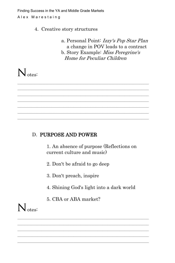#### 4. Creative story structures

a. Personal Point: Izzy's Pop Star Plan a change in POV leads to a contract b. Story Example: Miss Peregrine's Home for Peculiar Children

N<sub>otes</sub>:

#### D. PURPOSE AND POWER

1. An absence of purpose (Reflections on current culture and music)

2. Don't be afraid to go deep

\_\_\_\_\_\_\_\_\_\_\_\_\_\_\_\_\_\_\_\_\_\_\_\_\_\_\_\_\_\_\_\_\_\_\_\_\_\_\_\_\_\_\_\_\_\_\_\_\_\_\_\_\_\_  $\mathcal{L}_\text{max} = \mathcal{L}_\text{max} = \mathcal{L}_\text{max} = \mathcal{L}_\text{max} = \mathcal{L}_\text{max} = \mathcal{L}_\text{max} = \mathcal{L}_\text{max} = \mathcal{L}_\text{max} = \mathcal{L}_\text{max} = \mathcal{L}_\text{max} = \mathcal{L}_\text{max} = \mathcal{L}_\text{max} = \mathcal{L}_\text{max} = \mathcal{L}_\text{max} = \mathcal{L}_\text{max} = \mathcal{L}_\text{max} = \mathcal{L}_\text{max} = \mathcal{L}_\text{max} = \mathcal{$ \_\_\_\_\_\_\_\_\_\_\_\_\_\_\_\_\_\_\_\_\_\_\_\_\_\_\_\_\_\_\_\_\_\_\_\_\_\_\_\_\_\_\_\_\_\_\_\_\_\_\_\_\_\_ \_\_\_\_\_\_\_\_\_\_\_\_\_\_\_\_\_\_\_\_\_\_\_\_\_\_\_\_\_\_\_\_\_\_\_\_\_\_\_\_\_\_\_\_\_\_\_\_\_\_\_\_\_\_ \_\_\_\_\_\_\_\_\_\_\_\_\_\_\_\_\_\_\_\_\_\_\_\_\_\_\_\_\_\_\_\_\_\_\_\_\_\_\_\_\_\_\_\_\_\_\_\_\_\_\_\_\_\_  $\mathcal{L}_\text{max} = \mathcal{L}_\text{max} = \mathcal{L}_\text{max} = \mathcal{L}_\text{max} = \mathcal{L}_\text{max} = \mathcal{L}_\text{max} = \mathcal{L}_\text{max} = \mathcal{L}_\text{max} = \mathcal{L}_\text{max} = \mathcal{L}_\text{max} = \mathcal{L}_\text{max} = \mathcal{L}_\text{max} = \mathcal{L}_\text{max} = \mathcal{L}_\text{max} = \mathcal{L}_\text{max} = \mathcal{L}_\text{max} = \mathcal{L}_\text{max} = \mathcal{L}_\text{max} = \mathcal{$ \_\_\_\_\_\_\_\_\_\_\_\_\_\_\_\_\_\_\_\_\_\_\_\_\_\_\_\_\_\_\_\_\_\_\_\_\_\_\_\_\_\_\_\_\_\_\_\_\_\_\_\_\_\_

- 3. Don't preach, inspire
- 4. Shining God's light into a dark world
- 5. CBA or ABA market?

\_\_\_\_\_\_\_\_\_\_\_\_\_\_\_\_\_\_\_\_\_\_\_\_\_\_\_\_\_\_\_\_\_\_\_\_\_\_\_\_\_\_\_\_\_\_\_\_\_\_\_\_\_\_ \_\_\_\_\_\_\_\_\_\_\_\_\_\_\_\_\_\_\_\_\_\_\_\_\_\_\_\_\_\_\_\_\_\_\_\_\_\_\_\_\_\_\_\_\_\_\_\_\_\_\_\_\_\_ \_\_\_\_\_\_\_\_\_\_\_\_\_\_\_\_\_\_\_\_\_\_\_\_\_\_\_\_\_\_\_\_\_\_\_\_\_\_\_\_\_\_\_\_\_\_\_\_\_\_\_\_\_\_  $\mathcal{L}_\text{max} = \mathcal{L}_\text{max} = \mathcal{L}_\text{max} = \mathcal{L}_\text{max} = \mathcal{L}_\text{max} = \mathcal{L}_\text{max} = \mathcal{L}_\text{max} = \mathcal{L}_\text{max} = \mathcal{L}_\text{max} = \mathcal{L}_\text{max} = \mathcal{L}_\text{max} = \mathcal{L}_\text{max} = \mathcal{L}_\text{max} = \mathcal{L}_\text{max} = \mathcal{L}_\text{max} = \mathcal{L}_\text{max} = \mathcal{L}_\text{max} = \mathcal{L}_\text{max} = \mathcal{$ \_\_\_\_\_\_\_\_\_\_\_\_\_\_\_\_\_\_\_\_\_\_\_\_\_\_\_\_\_\_\_\_\_\_\_\_\_\_\_\_\_\_\_\_\_\_\_\_\_\_\_\_\_\_

 $N_{\text{otes}}$